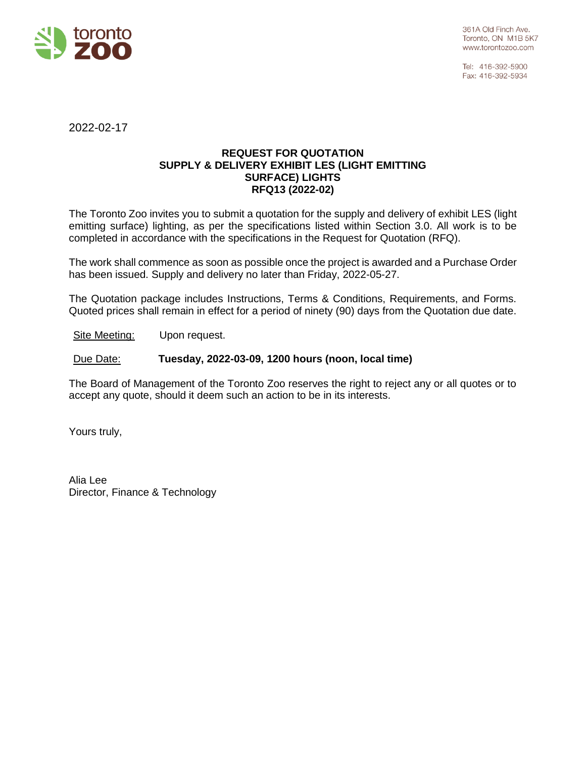

Tel: 416-392-5900 Fax: 416-392-5934

2022-02-17

## **REQUEST FOR QUOTATION SUPPLY & DELIVERY EXHIBIT LES (LIGHT EMITTING SURFACE) LIGHTS RFQ13 (2022-02)**

The Toronto Zoo invites you to submit a quotation for the supply and delivery of exhibit LES (light emitting surface) lighting, as per the specifications listed within Section 3.0. All work is to be completed in accordance with the specifications in the Request for Quotation (RFQ).

The work shall commence as soon as possible once the project is awarded and a Purchase Order has been issued. Supply and delivery no later than Friday, 2022-05-27.

The Quotation package includes Instructions, Terms & Conditions, Requirements, and Forms. Quoted prices shall remain in effect for a period of ninety (90) days from the Quotation due date.

Site Meeting: Upon request.

Due Date: **Tuesday, 2022-03-09, 1200 hours (noon, local time)** 

The Board of Management of the Toronto Zoo reserves the right to reject any or all quotes or to accept any quote, should it deem such an action to be in its interests.

Yours truly,

Alia Lee Director, Finance & Technology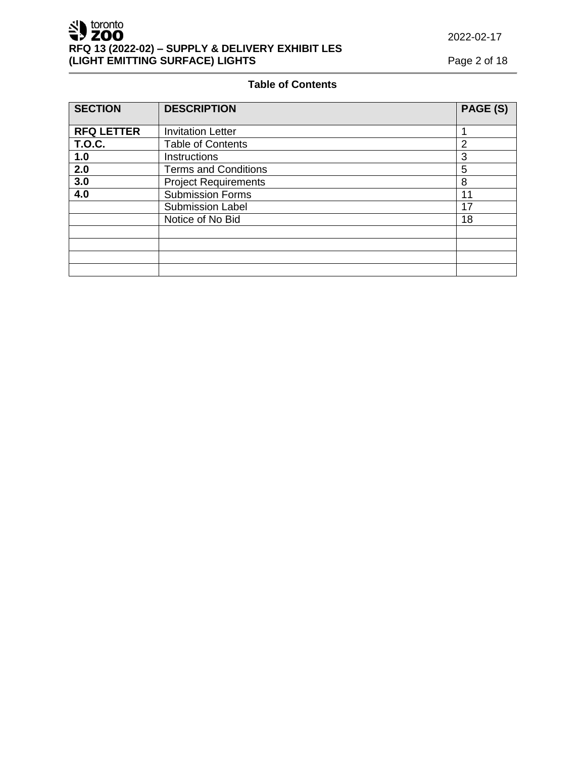# **Table of Contents**

| <b>SECTION</b>    | <b>DESCRIPTION</b>          | PAGE (S)       |
|-------------------|-----------------------------|----------------|
| <b>RFQ LETTER</b> | <b>Invitation Letter</b>    |                |
| <b>T.O.C.</b>     | <b>Table of Contents</b>    | $\overline{2}$ |
| 1.0               | <b>Instructions</b>         | 3              |
| 2.0               | <b>Terms and Conditions</b> | 5              |
| 3.0               | <b>Project Requirements</b> | 8              |
| 4.0               | <b>Submission Forms</b>     | 11             |
|                   | <b>Submission Label</b>     | 17             |
|                   | Notice of No Bid            | 18             |
|                   |                             |                |
|                   |                             |                |
|                   |                             |                |
|                   |                             |                |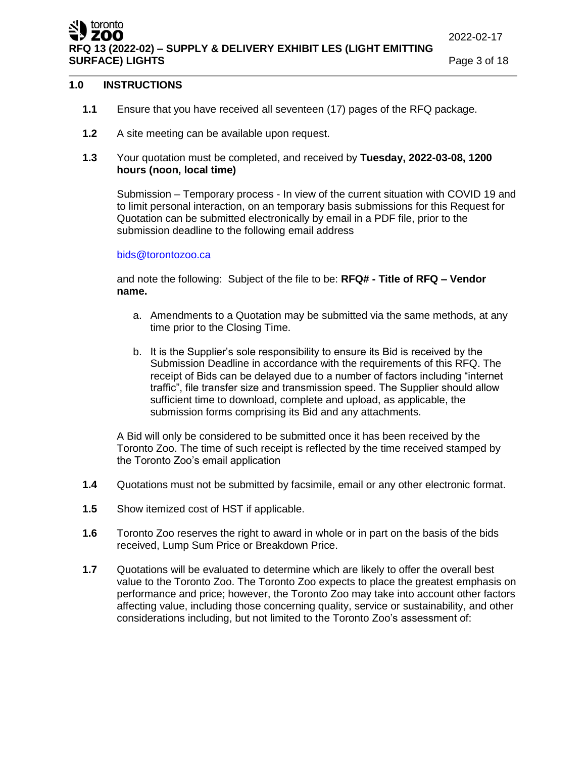ZOO **RFQ 13 (2022-02) – SUPPLY & DELIVERY EXHIBIT LES (LIGHT EMITTING SURFACE) LIGHTS Page 3 of 18** 

# **1.0 INSTRUCTIONS**

toronto

- **1.1** Ensure that you have received all seventeen (17) pages of the RFQ package.
- **1.2** A site meeting can be available upon request.
- **1.3** Your quotation must be completed, and received by **Tuesday, 2022-03-08, 1200 hours (noon, local time)**

Submission – Temporary process - In view of the current situation with COVID 19 and to limit personal interaction, on an temporary basis submissions for this Request for Quotation can be submitted electronically by email in a PDF file, prior to the submission deadline to the following email address

#### [bids@torontozoo.ca](mailto:bids@torontozoo.ca)

and note the following: Subject of the file to be: **RFQ# - Title of RFQ – Vendor name.**

- a. Amendments to a Quotation may be submitted via the same methods, at any time prior to the Closing Time.
- b. It is the Supplier's sole responsibility to ensure its Bid is received by the Submission Deadline in accordance with the requirements of this RFQ. The receipt of Bids can be delayed due to a number of factors including "internet traffic", file transfer size and transmission speed. The Supplier should allow sufficient time to download, complete and upload, as applicable, the submission forms comprising its Bid and any attachments.

A Bid will only be considered to be submitted once it has been received by the Toronto Zoo. The time of such receipt is reflected by the time received stamped by the Toronto Zoo's email application

- **1.4** Quotations must not be submitted by facsimile, email or any other electronic format.
- **1.5** Show itemized cost of HST if applicable.
- **1.6** Toronto Zoo reserves the right to award in whole or in part on the basis of the bids received, Lump Sum Price or Breakdown Price.
- **1.7** Quotations will be evaluated to determine which are likely to offer the overall best value to the Toronto Zoo. The Toronto Zoo expects to place the greatest emphasis on performance and price; however, the Toronto Zoo may take into account other factors affecting value, including those concerning quality, service or sustainability, and other considerations including, but not limited to the Toronto Zoo's assessment of: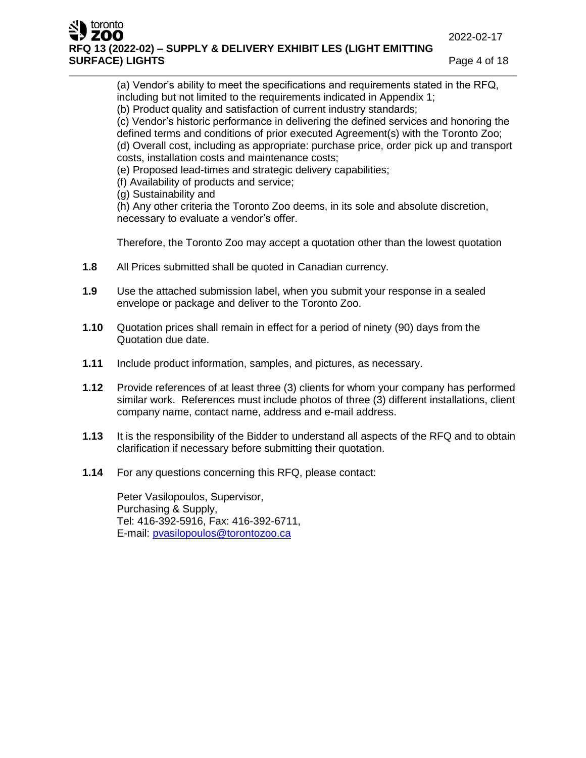## toronto ZOO **RFQ 13 (2022-02) – SUPPLY & DELIVERY EXHIBIT LES (LIGHT EMITTING SURFACE) LIGHTS Page 4 of 18**

(a) Vendor's ability to meet the specifications and requirements stated in the RFQ, including but not limited to the requirements indicated in Appendix 1;

(b) Product quality and satisfaction of current industry standards;

(c) Vendor's historic performance in delivering the defined services and honoring the defined terms and conditions of prior executed Agreement(s) with the Toronto Zoo; (d) Overall cost, including as appropriate: purchase price, order pick up and transport costs, installation costs and maintenance costs;

(e) Proposed lead-times and strategic delivery capabilities;

- (f) Availability of products and service;
- (g) Sustainability and

(h) Any other criteria the Toronto Zoo deems, in its sole and absolute discretion, necessary to evaluate a vendor's offer.

Therefore, the Toronto Zoo may accept a quotation other than the lowest quotation

- **1.8** All Prices submitted shall be quoted in Canadian currency.
- **1.9** Use the attached submission label, when you submit your response in a sealed envelope or package and deliver to the Toronto Zoo.
- **1.10** Quotation prices shall remain in effect for a period of ninety (90) days from the Quotation due date.
- **1.11** Include product information, samples, and pictures, as necessary.
- **1.12** Provide references of at least three (3) clients for whom your company has performed similar work. References must include photos of three (3) different installations, client company name, contact name, address and e-mail address.
- **1.13** It is the responsibility of the Bidder to understand all aspects of the RFQ and to obtain clarification if necessary before submitting their quotation.
- **1.14** For any questions concerning this RFQ, please contact:

Peter Vasilopoulos, Supervisor, Purchasing & Supply, Tel: 416-392-5916, Fax: 416-392-6711, E-mail: [pvasilopoulos@torontozoo.ca](mailto:pvasilopoulos@torontozoo.ca)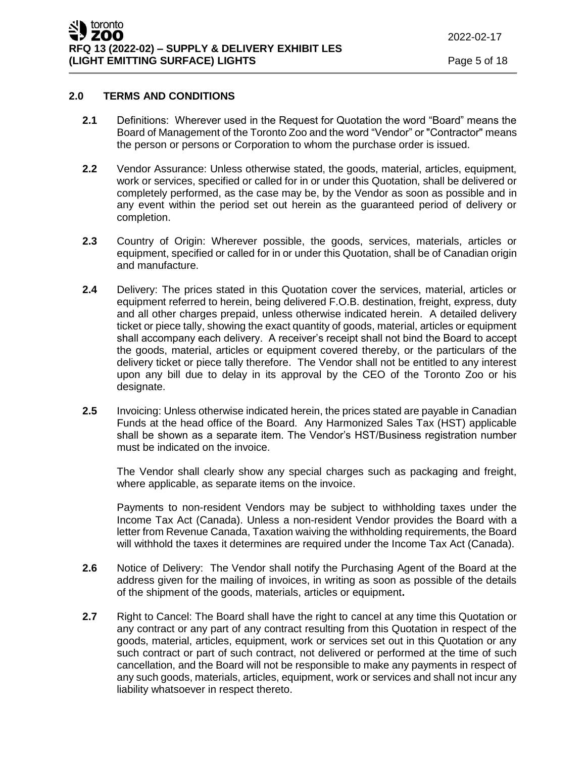# **2.0 TERMS AND CONDITIONS**

- **2.1** Definitions: Wherever used in the Request for Quotation the word "Board" means the Board of Management of the Toronto Zoo and the word "Vendor" or "Contractor" means the person or persons or Corporation to whom the purchase order is issued.
- **2.2** Vendor Assurance: Unless otherwise stated, the goods, material, articles, equipment, work or services, specified or called for in or under this Quotation, shall be delivered or completely performed, as the case may be, by the Vendor as soon as possible and in any event within the period set out herein as the guaranteed period of delivery or completion.
- **2.3** Country of Origin: Wherever possible, the goods, services, materials, articles or equipment, specified or called for in or under this Quotation, shall be of Canadian origin and manufacture.
- **2.4** Delivery: The prices stated in this Quotation cover the services, material, articles or equipment referred to herein, being delivered F.O.B. destination, freight, express, duty and all other charges prepaid, unless otherwise indicated herein. A detailed delivery ticket or piece tally, showing the exact quantity of goods, material, articles or equipment shall accompany each delivery. A receiver's receipt shall not bind the Board to accept the goods, material, articles or equipment covered thereby, or the particulars of the delivery ticket or piece tally therefore. The Vendor shall not be entitled to any interest upon any bill due to delay in its approval by the CEO of the Toronto Zoo or his designate.
- **2.5** Invoicing: Unless otherwise indicated herein, the prices stated are payable in Canadian Funds at the head office of the Board. Any Harmonized Sales Tax (HST) applicable shall be shown as a separate item. The Vendor's HST/Business registration number must be indicated on the invoice.

The Vendor shall clearly show any special charges such as packaging and freight, where applicable, as separate items on the invoice.

Payments to non-resident Vendors may be subject to withholding taxes under the Income Tax Act (Canada). Unless a non-resident Vendor provides the Board with a letter from Revenue Canada, Taxation waiving the withholding requirements, the Board will withhold the taxes it determines are required under the Income Tax Act (Canada).

- **2.6** Notice of Delivery: The Vendor shall notify the Purchasing Agent of the Board at the address given for the mailing of invoices, in writing as soon as possible of the details of the shipment of the goods, materials, articles or equipment**.**
- **2.7** Right to Cancel: The Board shall have the right to cancel at any time this Quotation or any contract or any part of any contract resulting from this Quotation in respect of the goods, material, articles, equipment, work or services set out in this Quotation or any such contract or part of such contract, not delivered or performed at the time of such cancellation, and the Board will not be responsible to make any payments in respect of any such goods, materials, articles, equipment, work or services and shall not incur any liability whatsoever in respect thereto.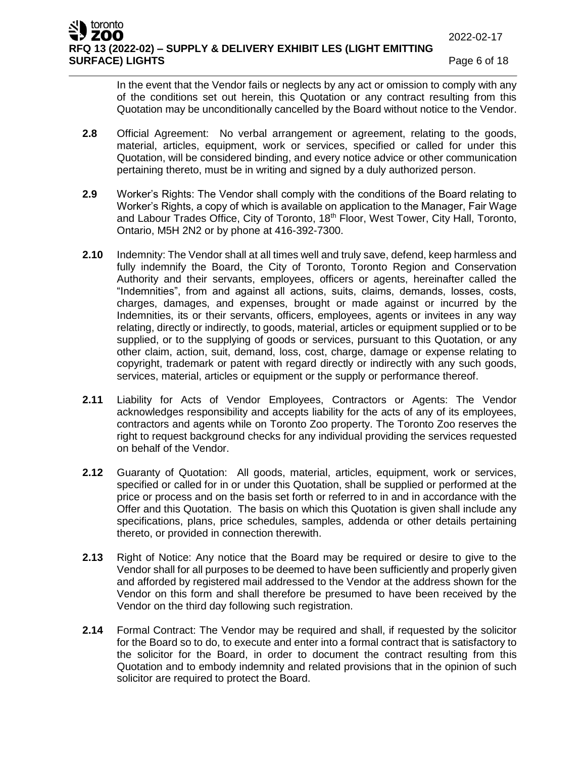In the event that the Vendor fails or neglects by any act or omission to comply with any of the conditions set out herein, this Quotation or any contract resulting from this Quotation may be unconditionally cancelled by the Board without notice to the Vendor.

- **2.8** Official Agreement: No verbal arrangement or agreement, relating to the goods, material, articles, equipment, work or services, specified or called for under this Quotation, will be considered binding, and every notice advice or other communication pertaining thereto, must be in writing and signed by a duly authorized person.
- **2.9** Worker's Rights: The Vendor shall comply with the conditions of the Board relating to Worker's Rights, a copy of which is available on application to the Manager, Fair Wage and Labour Trades Office, City of Toronto, 18<sup>th</sup> Floor, West Tower, City Hall, Toronto, Ontario, M5H 2N2 or by phone at 416-392-7300.
- **2.10** Indemnity: The Vendor shall at all times well and truly save, defend, keep harmless and fully indemnify the Board, the City of Toronto, Toronto Region and Conservation Authority and their servants, employees, officers or agents, hereinafter called the "Indemnities", from and against all actions, suits, claims, demands, losses, costs, charges, damages, and expenses, brought or made against or incurred by the Indemnities, its or their servants, officers, employees, agents or invitees in any way relating, directly or indirectly, to goods, material, articles or equipment supplied or to be supplied, or to the supplying of goods or services, pursuant to this Quotation, or any other claim, action, suit, demand, loss, cost, charge, damage or expense relating to copyright, trademark or patent with regard directly or indirectly with any such goods, services, material, articles or equipment or the supply or performance thereof.
- **2.11** Liability for Acts of Vendor Employees, Contractors or Agents: The Vendor acknowledges responsibility and accepts liability for the acts of any of its employees, contractors and agents while on Toronto Zoo property. The Toronto Zoo reserves the right to request background checks for any individual providing the services requested on behalf of the Vendor.
- **2.12** Guaranty of Quotation: All goods, material, articles, equipment, work or services, specified or called for in or under this Quotation, shall be supplied or performed at the price or process and on the basis set forth or referred to in and in accordance with the Offer and this Quotation. The basis on which this Quotation is given shall include any specifications, plans, price schedules, samples, addenda or other details pertaining thereto, or provided in connection therewith.
- **2.13** Right of Notice: Any notice that the Board may be required or desire to give to the Vendor shall for all purposes to be deemed to have been sufficiently and properly given and afforded by registered mail addressed to the Vendor at the address shown for the Vendor on this form and shall therefore be presumed to have been received by the Vendor on the third day following such registration.
- **2.14** Formal Contract: The Vendor may be required and shall, if requested by the solicitor for the Board so to do, to execute and enter into a formal contract that is satisfactory to the solicitor for the Board, in order to document the contract resulting from this Quotation and to embody indemnity and related provisions that in the opinion of such solicitor are required to protect the Board.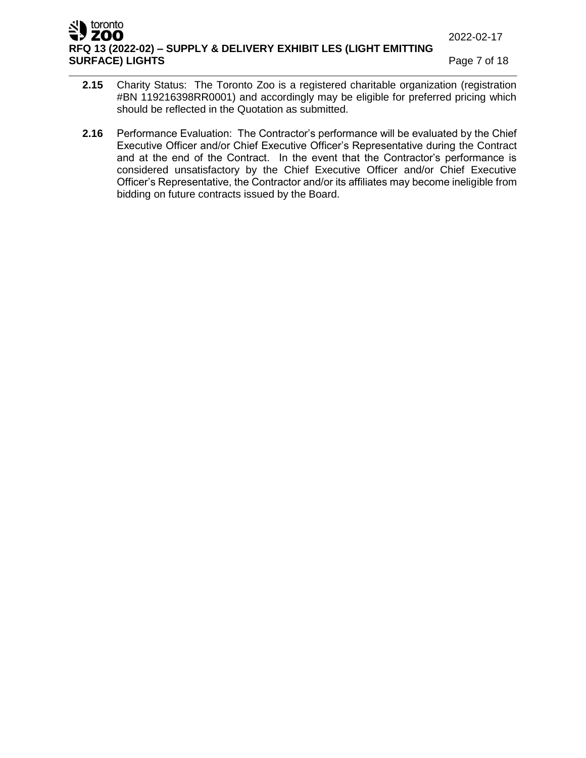## **U** toronto ZOO **RFQ 13 (2022-02) – SUPPLY & DELIVERY EXHIBIT LES (LIGHT EMITTING SURFACE) LIGHTS Page 7 of 18**

- **2.15** Charity Status: The Toronto Zoo is a registered charitable organization (registration #BN 119216398RR0001) and accordingly may be eligible for preferred pricing which should be reflected in the Quotation as submitted.
- **2.16** Performance Evaluation: The Contractor's performance will be evaluated by the Chief Executive Officer and/or Chief Executive Officer's Representative during the Contract and at the end of the Contract. In the event that the Contractor's performance is considered unsatisfactory by the Chief Executive Officer and/or Chief Executive Officer's Representative, the Contractor and/or its affiliates may become ineligible from bidding on future contracts issued by the Board.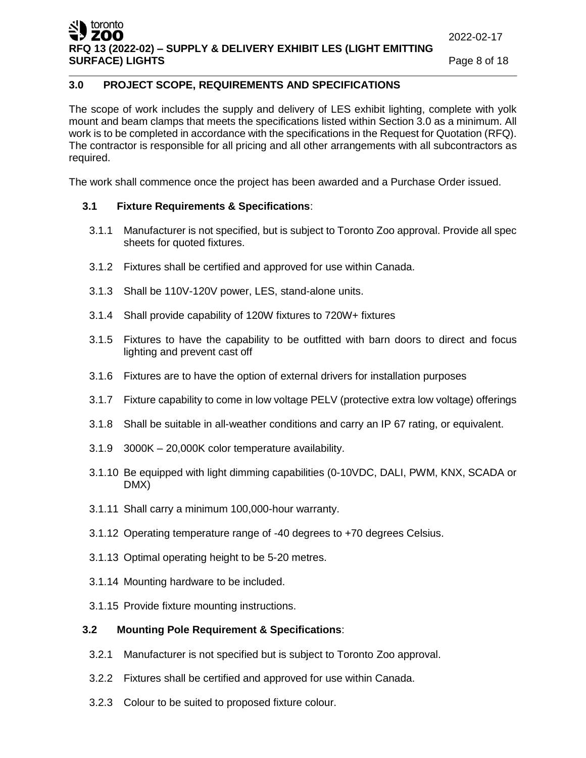# **3.0 PROJECT SCOPE, REQUIREMENTS AND SPECIFICATIONS**

The scope of work includes the supply and delivery of LES exhibit lighting, complete with yolk mount and beam clamps that meets the specifications listed within Section 3.0 as a minimum. All work is to be completed in accordance with the specifications in the Request for Quotation (RFQ). The contractor is responsible for all pricing and all other arrangements with all subcontractors as required.

The work shall commence once the project has been awarded and a Purchase Order issued.

# **3.1 Fixture Requirements & Specifications**:

- 3.1.1 Manufacturer is not specified, but is subject to Toronto Zoo approval. Provide all spec sheets for quoted fixtures.
- 3.1.2 Fixtures shall be certified and approved for use within Canada.
- 3.1.3 Shall be 110V-120V power, LES, stand-alone units.
- 3.1.4 Shall provide capability of 120W fixtures to 720W+ fixtures
- 3.1.5 Fixtures to have the capability to be outfitted with barn doors to direct and focus lighting and prevent cast off
- 3.1.6 Fixtures are to have the option of external drivers for installation purposes
- 3.1.7 Fixture capability to come in low voltage PELV (protective extra low voltage) offerings
- 3.1.8 Shall be suitable in all-weather conditions and carry an IP 67 rating, or equivalent.
- 3.1.9 3000K 20,000K color temperature availability.
- 3.1.10 Be equipped with light dimming capabilities (0-10VDC, DALI, PWM, KNX, SCADA or DMX)
- 3.1.11 Shall carry a minimum 100,000-hour warranty.
- 3.1.12 Operating temperature range of -40 degrees to +70 degrees Celsius.
- 3.1.13 Optimal operating height to be 5-20 metres.
- 3.1.14 Mounting hardware to be included.
- 3.1.15 Provide fixture mounting instructions.

# **3.2 Mounting Pole Requirement & Specifications**:

- 3.2.1 Manufacturer is not specified but is subject to Toronto Zoo approval.
- 3.2.2 Fixtures shall be certified and approved for use within Canada.
- 3.2.3 Colour to be suited to proposed fixture colour.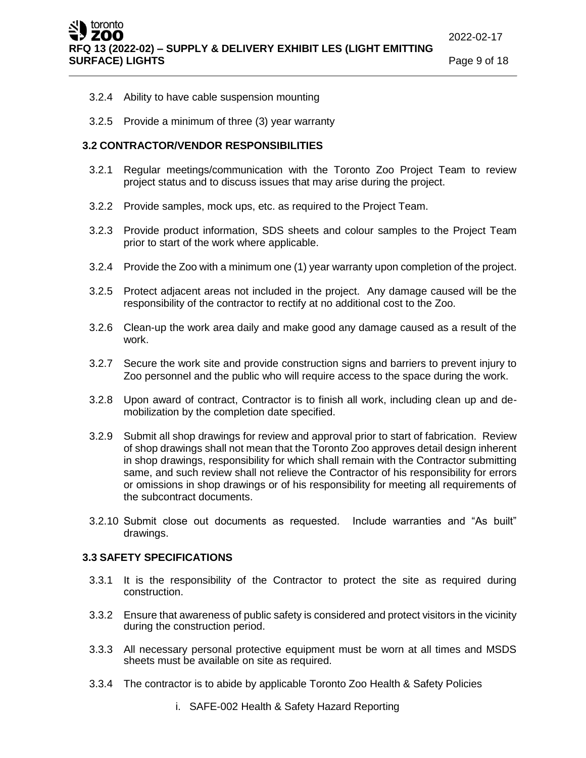- 3.2.4 Ability to have cable suspension mounting
- 3.2.5 Provide a minimum of three (3) year warranty

### **3.2 CONTRACTOR/VENDOR RESPONSIBILITIES**

- 3.2.1 Regular meetings/communication with the Toronto Zoo Project Team to review project status and to discuss issues that may arise during the project.
- 3.2.2 Provide samples, mock ups, etc. as required to the Project Team.
- 3.2.3 Provide product information, SDS sheets and colour samples to the Project Team prior to start of the work where applicable.
- 3.2.4 Provide the Zoo with a minimum one (1) year warranty upon completion of the project.
- 3.2.5 Protect adjacent areas not included in the project. Any damage caused will be the responsibility of the contractor to rectify at no additional cost to the Zoo.
- 3.2.6 Clean-up the work area daily and make good any damage caused as a result of the work.
- 3.2.7 Secure the work site and provide construction signs and barriers to prevent injury to Zoo personnel and the public who will require access to the space during the work.
- 3.2.8 Upon award of contract, Contractor is to finish all work, including clean up and demobilization by the completion date specified.
- 3.2.9 Submit all shop drawings for review and approval prior to start of fabrication. Review of shop drawings shall not mean that the Toronto Zoo approves detail design inherent in shop drawings, responsibility for which shall remain with the Contractor submitting same, and such review shall not relieve the Contractor of his responsibility for errors or omissions in shop drawings or of his responsibility for meeting all requirements of the subcontract documents.
- 3.2.10 Submit close out documents as requested. Include warranties and "As built" drawings.

## **3.3 SAFETY SPECIFICATIONS**

- 3.3.1 It is the responsibility of the Contractor to protect the site as required during construction.
- 3.3.2 Ensure that awareness of public safety is considered and protect visitors in the vicinity during the construction period.
- 3.3.3 All necessary personal protective equipment must be worn at all times and MSDS sheets must be available on site as required.
- 3.3.4 The contractor is to abide by applicable Toronto Zoo Health & Safety Policies
	- i. SAFE-002 Health & Safety Hazard Reporting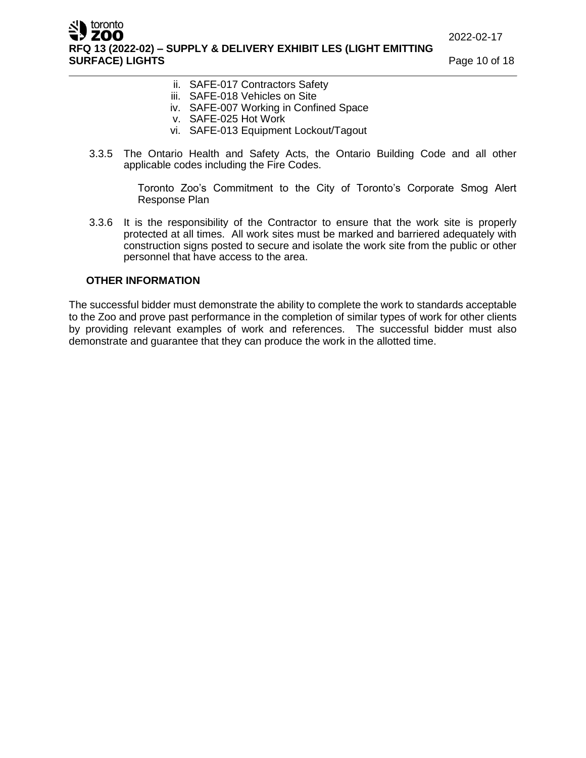ZOO **RFQ 13 (2022-02) – SUPPLY & DELIVERY EXHIBIT LES (LIGHT EMITTING SURFACE) LIGHTS Page 10 of 18** 

- ii. SAFE-017 Contractors Safety
- iii. SAFE-018 Vehicles on Site
- iv. SAFE-007 Working in Confined Space
- v. SAFE-025 Hot Work
- vi. SAFE-013 Equipment Lockout/Tagout
- 3.3.5 The Ontario Health and Safety Acts, the Ontario Building Code and all other applicable codes including the Fire Codes.

Toronto Zoo's Commitment to the City of Toronto's Corporate Smog Alert Response Plan

3.3.6 It is the responsibility of the Contractor to ensure that the work site is properly protected at all times. All work sites must be marked and barriered adequately with construction signs posted to secure and isolate the work site from the public or other personnel that have access to the area.

## **OTHER INFORMATION**

toronto

The successful bidder must demonstrate the ability to complete the work to standards acceptable to the Zoo and prove past performance in the completion of similar types of work for other clients by providing relevant examples of work and references. The successful bidder must also demonstrate and guarantee that they can produce the work in the allotted time.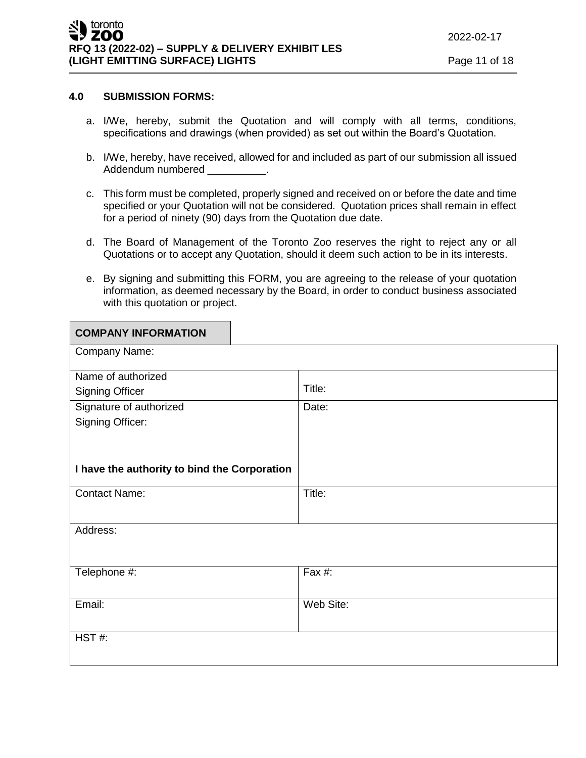#### **4.0 SUBMISSION FORMS:**

- a. I/We, hereby, submit the Quotation and will comply with all terms, conditions, specifications and drawings (when provided) as set out within the Board's Quotation.
- b. I/We, hereby, have received, allowed for and included as part of our submission all issued Addendum numbered
- c. This form must be completed, properly signed and received on or before the date and time specified or your Quotation will not be considered. Quotation prices shall remain in effect for a period of ninety (90) days from the Quotation due date.
- d. The Board of Management of the Toronto Zoo reserves the right to reject any or all Quotations or to accept any Quotation, should it deem such action to be in its interests.
- e. By signing and submitting this FORM, you are agreeing to the release of your quotation information, as deemed necessary by the Board, in order to conduct business associated with this quotation or project.

| <b>COMPANY INFORMATION</b>                   |           |  |
|----------------------------------------------|-----------|--|
| Company Name:                                |           |  |
| Name of authorized                           |           |  |
| <b>Signing Officer</b>                       | Title:    |  |
| Signature of authorized                      | Date:     |  |
| Signing Officer:                             |           |  |
|                                              |           |  |
|                                              |           |  |
| I have the authority to bind the Corporation |           |  |
| <b>Contact Name:</b>                         | Title:    |  |
|                                              |           |  |
| Address:                                     |           |  |
|                                              |           |  |
| Telephone #:                                 | Fax #:    |  |
|                                              |           |  |
| Email:                                       | Web Site: |  |
|                                              |           |  |
| HST#                                         |           |  |
|                                              |           |  |
|                                              |           |  |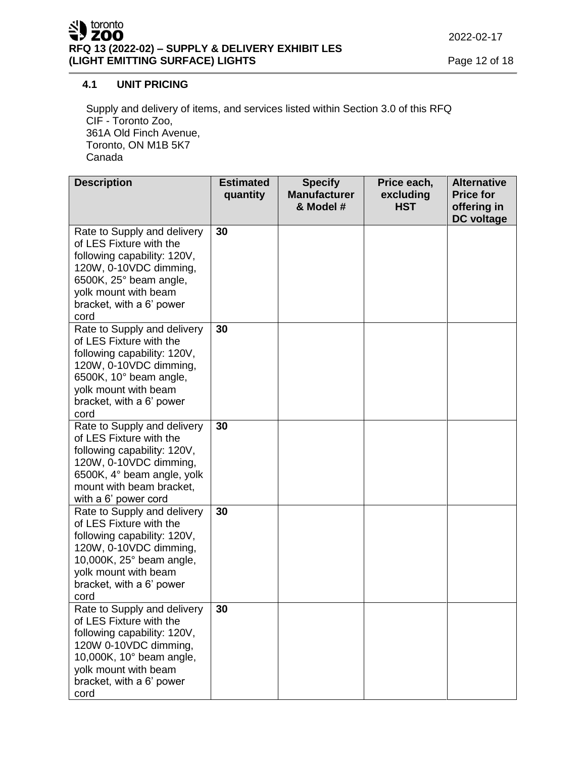# **4.1 UNIT PRICING**

Supply and delivery of items, and services listed within Section 3.0 of this RFQ CIF - Toronto Zoo, 361A Old Finch Avenue, Toronto, ON M1B 5K7 Canada

| <b>Description</b>                                                                                                                                                                                      | <b>Estimated</b><br>quantity | <b>Specify</b><br><b>Manufacturer</b><br>& Model # | Price each,<br>excluding<br><b>HST</b> | <b>Alternative</b><br><b>Price for</b><br>offering in |
|---------------------------------------------------------------------------------------------------------------------------------------------------------------------------------------------------------|------------------------------|----------------------------------------------------|----------------------------------------|-------------------------------------------------------|
| Rate to Supply and delivery<br>of LES Fixture with the<br>following capability: 120V,<br>120W, 0-10VDC dimming,<br>6500K, 25° beam angle,<br>yolk mount with beam<br>bracket, with a 6' power<br>cord   | 30                           |                                                    |                                        | DC voltage                                            |
| Rate to Supply and delivery<br>of LES Fixture with the<br>following capability: 120V,<br>120W, 0-10VDC dimming,<br>6500K, 10° beam angle,<br>yolk mount with beam<br>bracket, with a 6' power<br>cord   | 30                           |                                                    |                                        |                                                       |
| Rate to Supply and delivery<br>of LES Fixture with the<br>following capability: 120V,<br>120W, 0-10VDC dimming,<br>6500K, 4° beam angle, yolk<br>mount with beam bracket,<br>with a 6' power cord       | 30                           |                                                    |                                        |                                                       |
| Rate to Supply and delivery<br>of LES Fixture with the<br>following capability: 120V,<br>120W, 0-10VDC dimming,<br>10,000K, 25° beam angle,<br>yolk mount with beam<br>bracket, with a 6' power<br>cord | 30                           |                                                    |                                        |                                                       |
| Rate to Supply and delivery<br>of LES Fixture with the<br>following capability: 120V,<br>120W 0-10VDC dimming,<br>10,000K, 10° beam angle,<br>yolk mount with beam<br>bracket, with a 6' power<br>cord  | 30                           |                                                    |                                        |                                                       |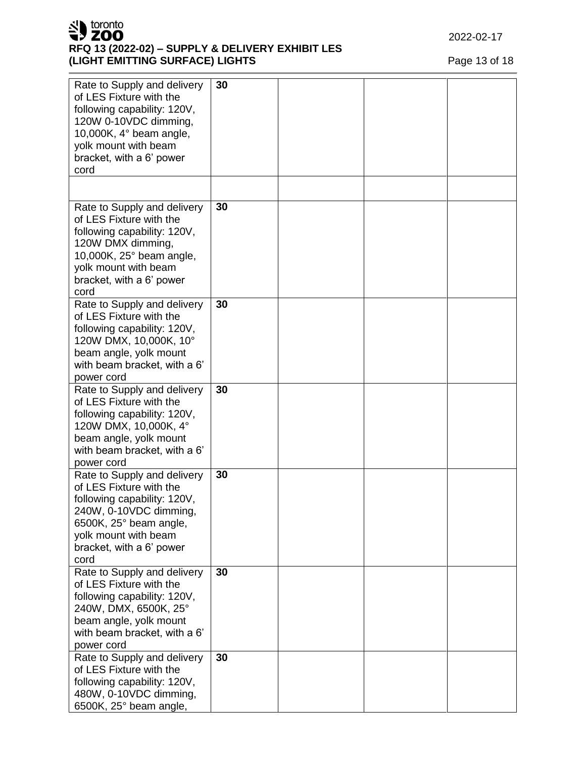

# **RFQ 13 (2022-02) – SUPPLY & DELIVERY EXHIBIT LES (LIGHT EMITTING SURFACE) LIGHTS** Page 13 of 18

| Rate to Supply and delivery<br>of LES Fixture with the<br>following capability: 120V,<br>120W 0-10VDC dimming,<br>10,000K, $4^{\circ}$ beam angle,<br>yolk mount with beam<br>bracket, with a 6' power<br>cord | 30 |  |  |
|----------------------------------------------------------------------------------------------------------------------------------------------------------------------------------------------------------------|----|--|--|
|                                                                                                                                                                                                                |    |  |  |
| Rate to Supply and delivery<br>of LES Fixture with the<br>following capability: 120V,<br>120W DMX dimming,<br>10,000K, 25° beam angle,<br>yolk mount with beam<br>bracket, with a 6' power<br>cord             | 30 |  |  |
| Rate to Supply and delivery<br>of LES Fixture with the<br>following capability: 120V,<br>120W DMX, 10,000K, 10°<br>beam angle, yolk mount<br>with beam bracket, with a 6'<br>power cord                        | 30 |  |  |
| Rate to Supply and delivery<br>of LES Fixture with the<br>following capability: 120V,<br>120W DMX, 10,000K, 4°<br>beam angle, yolk mount<br>with beam bracket, with a 6'<br>power cord                         | 30 |  |  |
| Rate to Supply and delivery<br>of LES Fixture with the<br>following capability: 120V,<br>240W, 0-10VDC dimming,<br>6500K, 25° beam angle,<br>yolk mount with beam<br>bracket, with a 6' power<br>cord          | 30 |  |  |
| Rate to Supply and delivery<br>of LES Fixture with the<br>following capability: 120V,<br>240W, DMX, 6500K, 25°<br>beam angle, yolk mount<br>with beam bracket, with a 6'<br>power cord                         | 30 |  |  |
| Rate to Supply and delivery<br>of LES Fixture with the<br>following capability: 120V,<br>480W, 0-10VDC dimming,<br>6500K, 25° beam angle,                                                                      | 30 |  |  |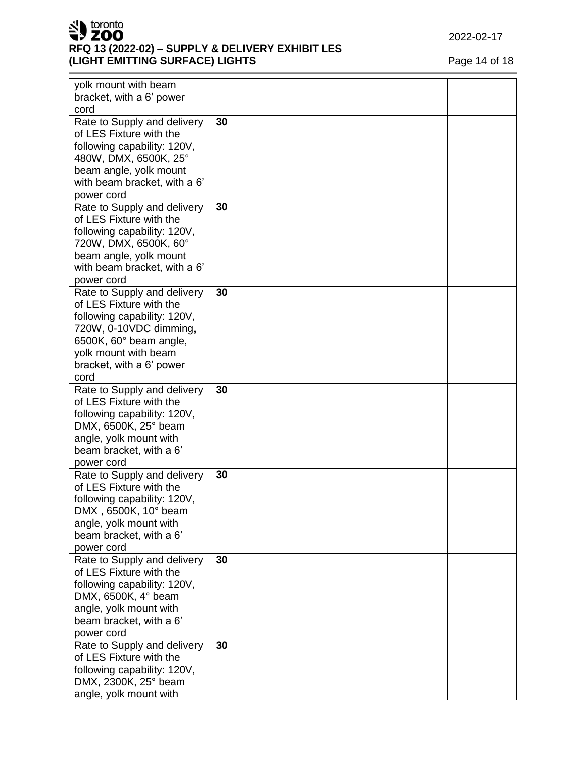

# **RFQ 13 (2022 -02) – SUPPLY & DELIVERY EXHIBIT LES (LIGHT EMITTING SURFACE) LIGHTS** Page 14 of 18

| yolk mount with beam         |    |  |  |
|------------------------------|----|--|--|
| bracket, with a 6' power     |    |  |  |
| cord                         | 30 |  |  |
| Rate to Supply and delivery  |    |  |  |
| of LES Fixture with the      |    |  |  |
| following capability: 120V,  |    |  |  |
| 480W, DMX, 6500K, 25°        |    |  |  |
| beam angle, yolk mount       |    |  |  |
| with beam bracket, with a 6' |    |  |  |
| power cord                   |    |  |  |
| Rate to Supply and delivery  | 30 |  |  |
| of LES Fixture with the      |    |  |  |
| following capability: 120V,  |    |  |  |
| 720W, DMX, 6500K, 60°        |    |  |  |
| beam angle, yolk mount       |    |  |  |
| with beam bracket, with a 6' |    |  |  |
| power cord                   |    |  |  |
| Rate to Supply and delivery  | 30 |  |  |
| of LES Fixture with the      |    |  |  |
| following capability: 120V,  |    |  |  |
| 720W, 0-10VDC dimming,       |    |  |  |
| 6500K, 60° beam angle,       |    |  |  |
| yolk mount with beam         |    |  |  |
| bracket, with a 6' power     |    |  |  |
| cord                         |    |  |  |
| Rate to Supply and delivery  | 30 |  |  |
| of LES Fixture with the      |    |  |  |
| following capability: 120V,  |    |  |  |
| DMX, 6500K, 25° beam         |    |  |  |
| angle, yolk mount with       |    |  |  |
| beam bracket, with a 6'      |    |  |  |
| power cord                   |    |  |  |
| Rate to Supply and delivery  | 30 |  |  |
| of LES Fixture with the      |    |  |  |
| following capability: 120V,  |    |  |  |
| DMX, 6500K, 10° beam         |    |  |  |
| angle, yolk mount with       |    |  |  |
| beam bracket, with a 6'      |    |  |  |
| power cord                   |    |  |  |
| Rate to Supply and delivery  | 30 |  |  |
| of LES Fixture with the      |    |  |  |
| following capability: 120V,  |    |  |  |
| DMX, 6500K, 4° beam          |    |  |  |
| angle, yolk mount with       |    |  |  |
| beam bracket, with a 6'      |    |  |  |
| power cord                   |    |  |  |
| Rate to Supply and delivery  | 30 |  |  |
| of LES Fixture with the      |    |  |  |
|                              |    |  |  |
| following capability: 120V,  |    |  |  |
| DMX, 2300K, 25° beam         |    |  |  |
| angle, yolk mount with       |    |  |  |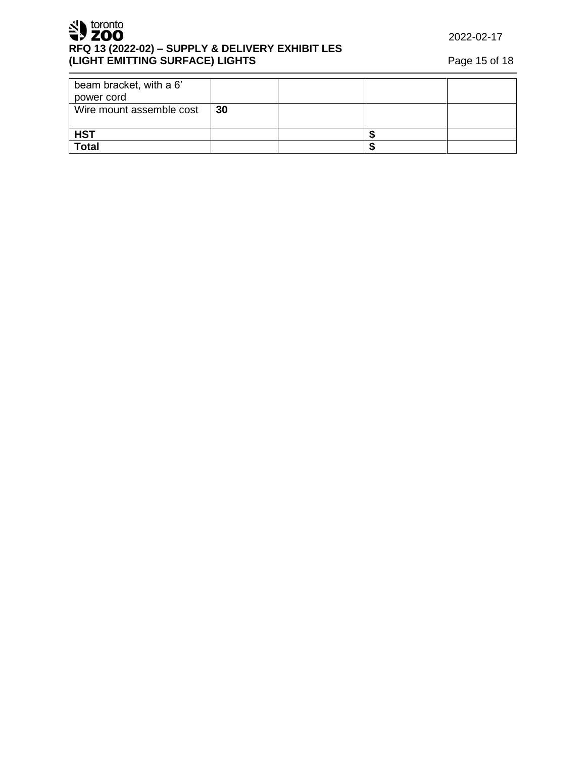SU toronto **RFQ 13 (2022-02) – SUPPLY & DELIVERY EXHIBIT LES (LIGHT EMITTING SURFACE) LIGHTS** Page 15 of 18

2022-02-17

| beam bracket, with a 6'  |    |  |  |
|--------------------------|----|--|--|
| power cord               |    |  |  |
| Wire mount assemble cost | 30 |  |  |
|                          |    |  |  |
| <b>HST</b>               |    |  |  |
| <b>Total</b>             |    |  |  |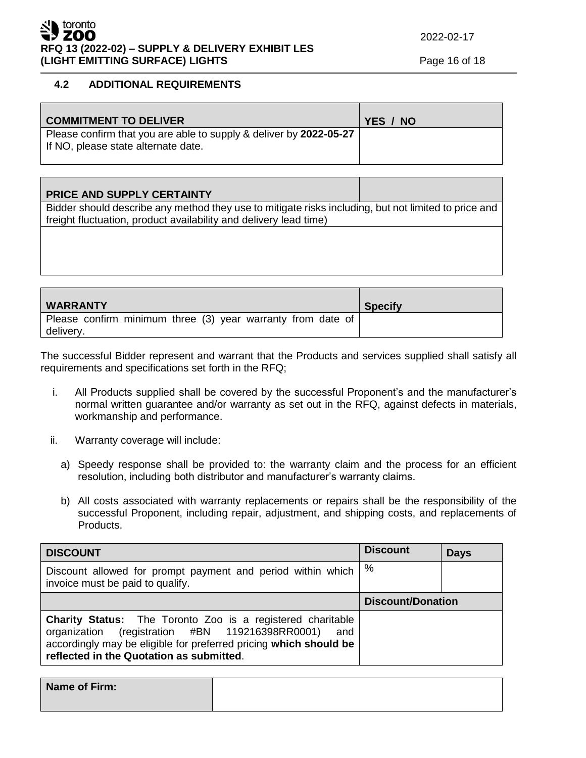### ⊾toronto ZOO **RFQ 13 (2022-02) – SUPPLY & DELIVERY EXHIBIT LES (LIGHT EMITTING SURFACE) LIGHTS** Page 16 of 18

# **4.2 ADDITIONAL REQUIREMENTS**

| <b>COMMITMENT TO DELIVER</b>                                                                              | YES / NO |
|-----------------------------------------------------------------------------------------------------------|----------|
| Please confirm that you are able to supply & deliver by 2022-05-27<br>If NO, please state alternate date. |          |

| <b>PRICE AND SUPPLY CERTAINTY</b>                                                                    |  |
|------------------------------------------------------------------------------------------------------|--|
| Bidder should describe any method they use to mitigate risks including, but not limited to price and |  |
| freight fluctuation, product availability and delivery lead time)                                    |  |
|                                                                                                      |  |
|                                                                                                      |  |
|                                                                                                      |  |
|                                                                                                      |  |

| <b>WARRANTY</b>                                                          | <b>Specify</b> |
|--------------------------------------------------------------------------|----------------|
| Please confirm minimum three (3) year warranty from date of<br>delivery. |                |

The successful Bidder represent and warrant that the Products and services supplied shall satisfy all requirements and specifications set forth in the RFQ;

- i. All Products supplied shall be covered by the successful Proponent's and the manufacturer's normal written guarantee and/or warranty as set out in the RFQ, against defects in materials, workmanship and performance.
- ii. Warranty coverage will include:
	- a) Speedy response shall be provided to: the warranty claim and the process for an efficient resolution, including both distributor and manufacturer's warranty claims.
	- b) All costs associated with warranty replacements or repairs shall be the responsibility of the successful Proponent, including repair, adjustment, and shipping costs, and replacements of Products.

| <b>DISCOUNT</b>                                                                                                                                                                                                                           | <b>Discount</b>          | <b>Days</b> |
|-------------------------------------------------------------------------------------------------------------------------------------------------------------------------------------------------------------------------------------------|--------------------------|-------------|
| Discount allowed for prompt payment and period within which<br>invoice must be paid to qualify.                                                                                                                                           | %                        |             |
|                                                                                                                                                                                                                                           | <b>Discount/Donation</b> |             |
| <b>Charity Status:</b> The Toronto Zoo is a registered charitable<br>organization (registration #BN 119216398RR0001) and<br>accordingly may be eligible for preferred pricing which should be<br>reflected in the Quotation as submitted. |                          |             |

**Name of Firm:**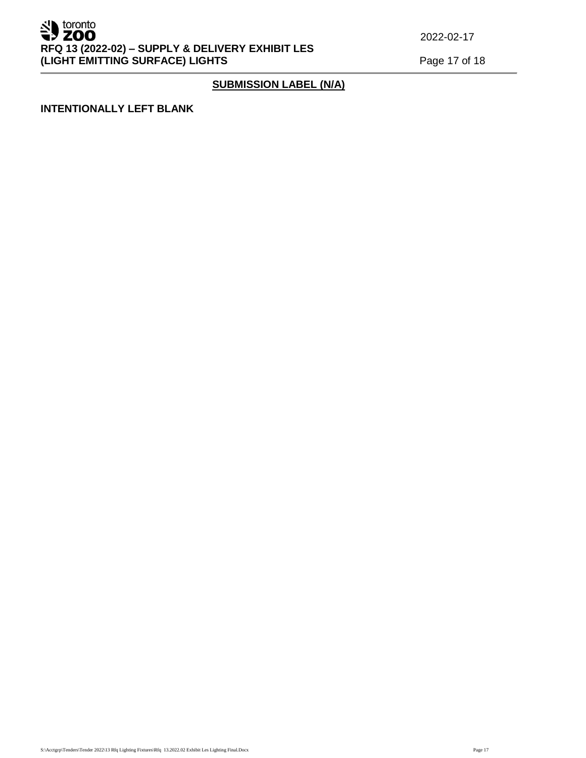

# **SUBMISSION LABEL (N/A)**

#### **INTENTIONALLY LEFT BLANK**